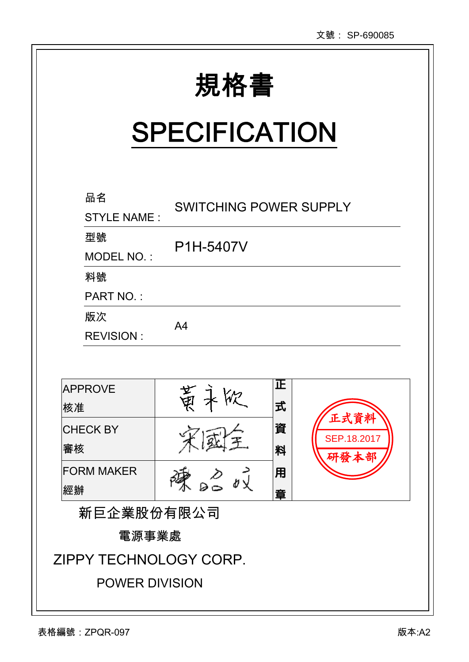| 規格書 |
|-----|

Ι

# **SPECIFICATION**

| 品名<br><b>STYLE NAME:</b> | <b>SWITCHING POWER SUPPLY</b> |        |                     |  |
|--------------------------|-------------------------------|--------|---------------------|--|
| 型號<br>MODEL NO.:         | P1H-5407V                     |        |                     |  |
| 料號<br><b>PART NO.:</b>   |                               |        |                     |  |
| 版次<br><b>REVISION:</b>   | A <sub>4</sub>                |        |                     |  |
| <b>APPROVE</b>           |                               | 正      |                     |  |
| 核准                       | 医气                            | 式      | 正式資料                |  |
| <b>CHECK BY</b><br>審核    |                               | 資<br>料 | SEP.18.2017<br>研發本部 |  |
| <b>FORM MAKER</b><br>經辦  |                               | 用<br>章 |                     |  |
| 新巨企業股份有限公司               |                               |        |                     |  |
| 電源事業處                    |                               |        |                     |  |
| ZIPPY TECHNOLOGY CORP.   |                               |        |                     |  |

 $\overline{a}$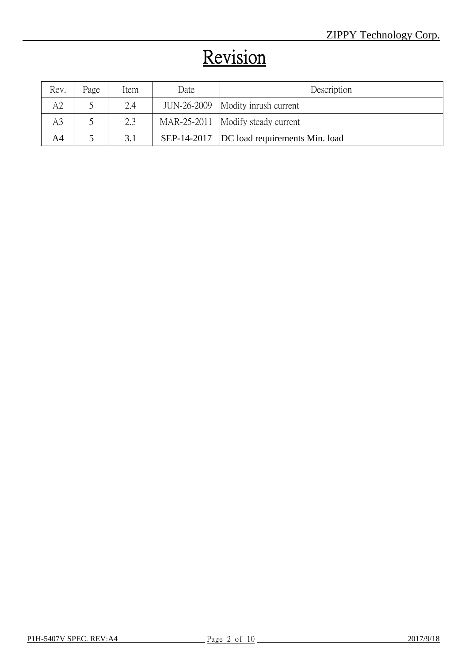# Revision

| Rev.           | Page | Item | Date | Description                                 |
|----------------|------|------|------|---------------------------------------------|
|                |      | 2.4  |      | JUN-26-2009 Modity inrush current           |
| A <sub>3</sub> |      | 2.3  |      | MAR-25-2011 Modify steady current           |
| A4             |      | 3.1  |      | SEP-14-2017  DC load requirements Min. load |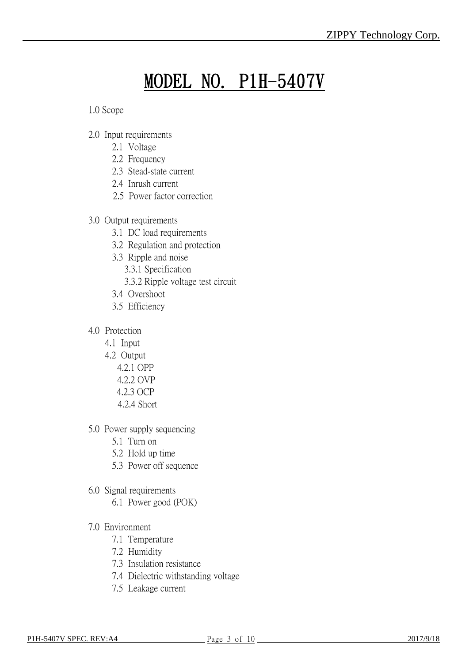# MODEL NO. P1H-5407V

1.0 Scope

- 2.0 Input requirements
	- 2.1 Voltage
	- 2.2 Frequency
	- 2.3 Stead-state current
	- 2.4 Inrush current
	- 2.5 Power factor correction
- 3.0 Output requirements
	- 3.1 DC load requirements
	- 3.2 Regulation and protection
	- 3.3 Ripple and noise
		- 3.3.1 Specification
		- 3.3.2 Ripple voltage test circuit
	- 3.4 Overshoot
	- 3.5 Efficiency
- 4.0 Protection
	- 4.1 Input
	- 4.2 Output
		- 4.2.1 OPP
		- 4.2.2 OVP
		- 4.2.3 OCP
		- 4.2.4 Short
- 5.0 Power supply sequencing
	- 5.1 Turn on
	- 5.2 Hold up time
	- 5.3 Power off sequence
- 6.0 Signal requirements
	- 6.1 Power good (POK)
- 7.0 Environment
	- 7.1 Temperature
	- 7.2 Humidity
	- 7.3 Insulation resistance
	- 7.4 Dielectric withstanding voltage
	- 7.5 Leakage current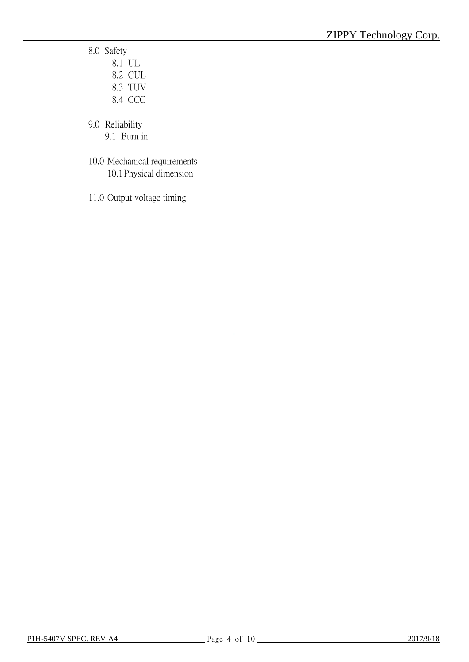8.0 Safety

| 8.1 UL  |
|---------|
| 8.2 CUL |
| 8.3 TUV |
| 8.4 CCC |

9.0 Reliability

- 9.1 Burn in
- 10.0 Mechanical requirements 10.1Physical dimension
- 11.0 Output voltage timing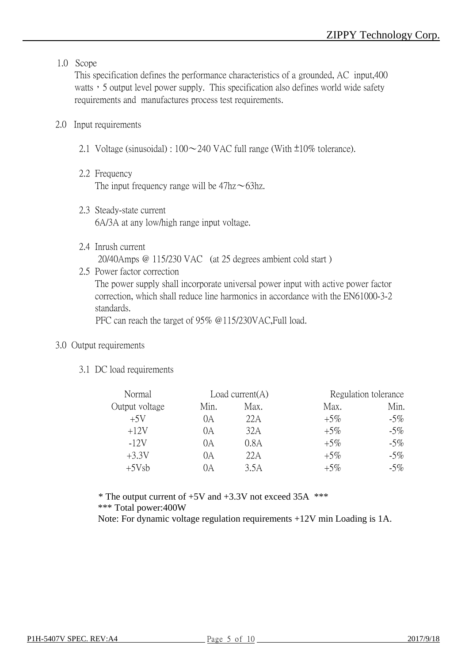#### 1.0 Scope

This specification defines the performance characteristics of a grounded, AC input,400 watts, 5 output level power supply. This specification also defines world wide safety requirements and manufactures process test requirements.

#### 2.0 Input requirements

- 2.1 Voltage (sinusoidal) :  $100 \sim 240$  VAC full range (With  $\pm 10\%$  tolerance).
- 2.2 Frequency The input frequency range will be  $47\text{hz} \sim 63\text{hz}$ .
- 2.3 Steady-state current 6A/3A at any low/high range input voltage.
- 2.4 Inrush current 20/40Amps @ 115/230 VAC (at 25 degrees ambient cold start )
- 2.5 Power factor correction The power supply shall incorporate universal power input with active power factor correction, which shall reduce line harmonics in accordance with the EN61000-3-2 standards.

PFC can reach the target of 95% @115/230VAC,Full load.

#### 3.0 Output requirements

3.1 DC load requirements

| Normal         |      | Load current $(A)$ |        | Regulation tolerance |
|----------------|------|--------------------|--------|----------------------|
| Output voltage | Min. | Max.               | Max.   | Min.                 |
| $+5V$          | 0A   | 22A                | $+5\%$ | $-5\%$               |
| $+12V$         | 0А   | 32A                | $+5\%$ | $-5\%$               |
| $-12V$         | 0A   | 0.8A               | $+5\%$ | $-5\%$               |
| $+3.3V$        | 0A   | 22A                | $+5\%$ | $-5\%$               |
| $+5Vsb$        | DА   | 3.5A               | $+5\%$ | $-5\%$               |

 $*$  The output current of  $+5V$  and  $+3.3V$  not exceed 35A  $***$ \*\*\* Total power:400W

Note: For dynamic voltage regulation requirements +12V min Loading is 1A.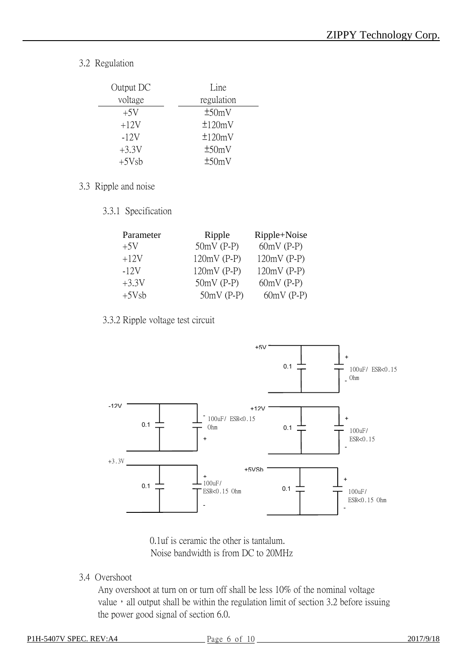3.2 Regulation

| Output DC | Line         |
|-----------|--------------|
| voltage   | regulation   |
| $+5V$     | ±50mV        |
| $+12V$    | $\pm 120$ mV |
| $-12V$    | $\pm 120$ mV |
| $+3.3V$   | ±50mV        |
| $+5Vsb$   | ±50mV        |

- 3.3 Ripple and noise
	- 3.3.1 Specification

| Parameter | Ripple        | Ripple+Noise  |
|-----------|---------------|---------------|
| $+5V$     | $50mV$ (P-P)  | $60mV$ (P-P)  |
| $+12V$    | $120mV$ (P-P) | $120mV$ (P-P) |
| $-12V$    | $120mV$ (P-P) | $120mV$ (P-P) |
| $+3.3V$   | $50mV$ (P-P)  | $60mV$ (P-P)  |
| $+5Vsb$   | $50mV$ (P-P)  | $60mV$ (P-P)  |

3.3.2 Ripple voltage test circuit



0.1uf is ceramic the other is tantalum. Noise bandwidth is from DC to 20MHz

3.4 Overshoot

Any overshoot at turn on or turn off shall be less 10% of the nominal voltage value, all output shall be within the regulation limit of section 3.2 before issuing the power good signal of section 6.0.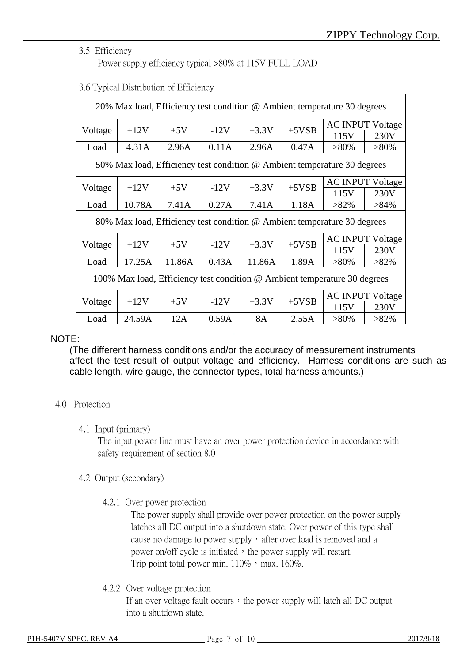#### 3.5 Efficiency

Power supply efficiency typical >80% at 115V FULL LOAD

| 20% Max load, Efficiency test condition @ Ambient temperature 30 degrees  |                                                                          |        |        |           |         |         |                         |  |      |      |
|---------------------------------------------------------------------------|--------------------------------------------------------------------------|--------|--------|-----------|---------|---------|-------------------------|--|------|------|
|                                                                           |                                                                          |        |        |           |         |         | <b>AC INPUT Voltage</b> |  |      |      |
| Voltage                                                                   | $+12V$                                                                   | $+5V$  | $-12V$ | $+3.3V$   | $+5VSB$ | 115V    | 230V                    |  |      |      |
| Load                                                                      | 4.31A                                                                    | 2.96A  | 0.11A  | 2.96A     | 0.47A   | $>80\%$ | $>80\%$                 |  |      |      |
|                                                                           | 50% Max load, Efficiency test condition @ Ambient temperature 30 degrees |        |        |           |         |         |                         |  |      |      |
|                                                                           |                                                                          |        |        |           |         |         | <b>AC INPUT Voltage</b> |  |      |      |
| Voltage                                                                   | $+12V$                                                                   | $+5V$  | $-12V$ | $+3.3V$   | $+5VSB$ | 115V    | 230V                    |  |      |      |
| Load                                                                      | 10.78A                                                                   | 7.41A  | 0.27A  | 7.41A     | 1.18A   | $>82\%$ | $>84\%$                 |  |      |      |
| 80% Max load, Efficiency test condition @ Ambient temperature 30 degrees  |                                                                          |        |        |           |         |         |                         |  |      |      |
|                                                                           |                                                                          |        |        |           |         |         | <b>AC INPUT Voltage</b> |  |      |      |
| Voltage                                                                   | $+12V$                                                                   | $+5V$  | $-12V$ | $+3.3V$   | $+5VSB$ | 115V    | 230V                    |  |      |      |
| Load                                                                      | 17.25A                                                                   | 11.86A | 0.43A  | 11.86A    | 1.89A   | $>80\%$ | $>82\%$                 |  |      |      |
| 100% Max load, Efficiency test condition @ Ambient temperature 30 degrees |                                                                          |        |        |           |         |         |                         |  |      |      |
|                                                                           | $+12V$                                                                   |        | $-12V$ |           | $+5VSB$ |         | <b>AC INPUT Voltage</b> |  |      |      |
| Voltage                                                                   |                                                                          | $+5V$  |        | $+3.3V$   |         |         |                         |  | 115V | 230V |
| Load                                                                      | 24.59A                                                                   | 12A    | 0.59A  | <b>8A</b> | 2.55A   | $>80\%$ | $>82\%$                 |  |      |      |

#### 3.6 Typical Distribution of Efficiency

#### NOTE:

(The different harness conditions and/or the accuracy of measurement instruments affect the test result of output voltage and efficiency. Harness conditions are such as cable length, wire gauge, the connector types, total harness amounts.)

#### 4.0 Protection

#### 4.1 Input (primary)

The input power line must have an over power protection device in accordance with safety requirement of section 8.0

#### 4.2 Output (secondary)

4.2.1 Over power protection

The power supply shall provide over power protection on the power supply latches all DC output into a shutdown state. Over power of this type shall cause no damage to power supply, after over load is removed and a power on/off cycle is initiated, the power supply will restart. Trip point total power min.  $110\%$ , max.  $160\%$ .

4.2.2 Over voltage protection

If an over voltage fault occurs, the power supply will latch all  $DC$  output into a shutdown state.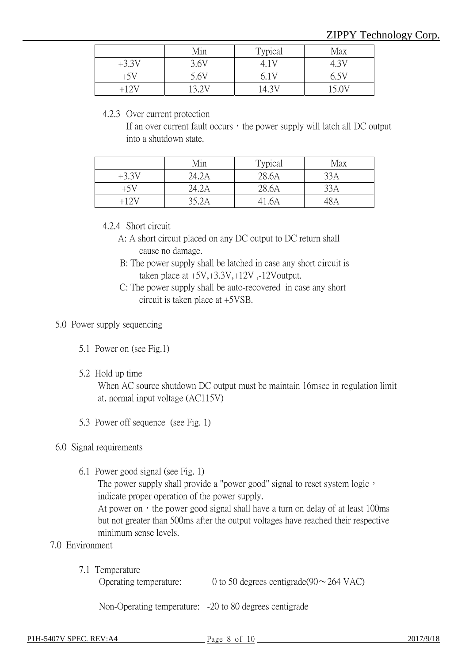|         | Min   | Typical       | Max   |
|---------|-------|---------------|-------|
| $+3.3V$ | 3.6V  |               |       |
| $+5V$   | 5.6V  |               | 6.5V  |
| +12V    | 13.2V | $4.3^{\circ}$ | 15 OV |

#### 4.2.3 Over current protection

If an over current fault occurs, the power supply will latch all  $DC$  output into a shutdown state.

|         | Min   | Typical | Max |
|---------|-------|---------|-----|
| $+3.3V$ | 24.2A | 28.6A   | 33A |
| +5V     | 24.2A | 28.6A   | 33A |
|         | 35.2A | 41.6A   |     |

#### 4.2.4 Short circuit

- A: A short circuit placed on any DC output to DC return shall cause no damage.
- B: The power supply shall be latched in case any short circuit is taken place at  $+5V, +3.3V, +12V$ , -12Voutput.
- C: The power supply shall be auto-recovered in case any short circuit is taken place at +5VSB.

#### 5.0 Power supply sequencing

- 5.1 Power on (see Fig.1)
- 5.2 Hold up time

When AC source shutdown DC output must be maintain 16msec in regulation limit at. normal input voltage (AC115V)

5.3 Power off sequence (see Fig. 1)

#### 6.0 Signal requirements

6.1 Power good signal (see Fig. 1)

The power supply shall provide a "power good" signal to reset system logic, indicate proper operation of the power supply.

At power on, the power good signal shall have a turn on delay of at least 100ms but not greater than 500ms after the output voltages have reached their respective minimum sense levels.

#### 7.0 Environment

7.1 Temperature

| Operating temperature: | 0 to 50 degrees centigrade(90 $\sim$ 264 VAC) |
|------------------------|-----------------------------------------------|
|------------------------|-----------------------------------------------|

Non-Operating temperature: -20 to 80 degrees centigrade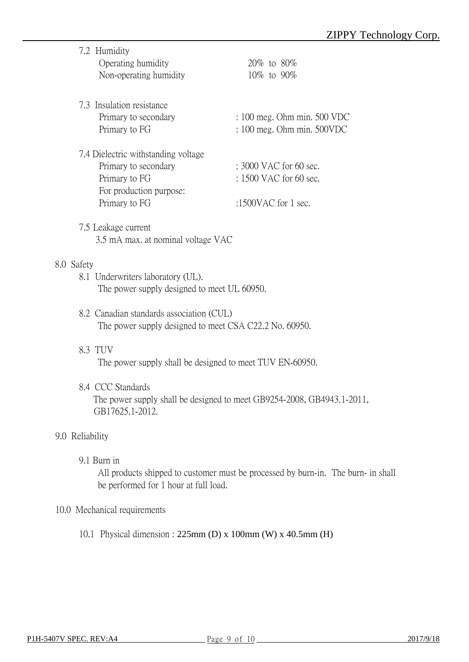|            | 7.2 Humidity                                             | $20\%$ to $80\%$               |
|------------|----------------------------------------------------------|--------------------------------|
|            | Operating humidity                                       |                                |
|            | Non-operating humidity                                   | 10\% to 90\%                   |
|            | 7.3 Insulation resistance                                |                                |
|            | Primary to secondary                                     | : 100 meg. Ohm min. 500 VDC    |
|            | Primary to FG                                            | $: 100$ meg. Ohm min. $500VDC$ |
|            | 7.4 Dielectric withstanding voltage                      |                                |
|            | Primary to secondary                                     | $: 3000$ VAC for 60 sec.       |
|            | Primary to FG                                            | : 1500 VAC for 60 sec.         |
|            | For production purpose:                                  |                                |
|            | Primary to FG                                            | :1500VAC for 1 sec.            |
|            | 7.5 Leakage current                                      |                                |
|            | 3.5 mA max. at nominal voltage VAC                       |                                |
| 8.0 Safety |                                                          |                                |
|            | 8.1 Underwriters laboratory (UL).                        |                                |
|            | The power supply designed to meet UL 60950.              |                                |
|            | 8.2 Canadian standards association (CUL)                 |                                |
|            | The power supply designed to meet CSA C22.2 No. 60950.   |                                |
|            | 8.3 TUV                                                  |                                |
|            | The power supply shall be designed to meet TUV EN-60950. |                                |
|            |                                                          |                                |

8.4 CCC Standards The power supply shall be designed to meet GB9254-2008, GB4943.1-2011, GB17625.1-2012.

### 9.0 Reliability

9.1 Burn in

All products shipped to customer must be processed by burn-in. The burn- in shall be performed for 1 hour at full load.

#### 10.0 Mechanical requirements

10.1 Physical dimension : 225mm (D) x 100mm (W) x 40.5mm (H)